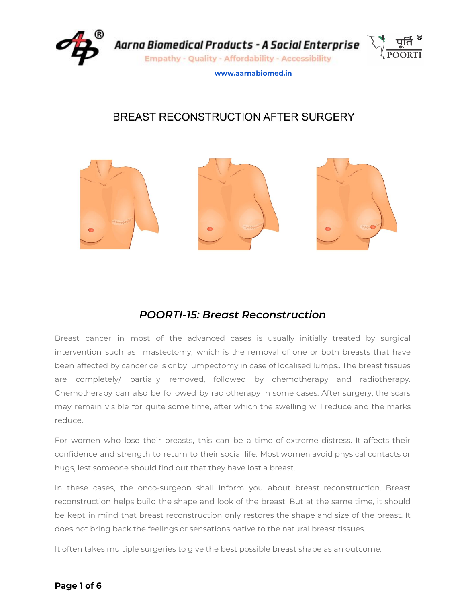

**[www.aarnabiomed.in](http://www.aarnabiomed.in/)**

# BREAST RECONSTRUCTION AFTER SURGERY



## *POORTI-15: Breast Reconstruction*

Breast cancer in most of the advanced cases is usually initially treated by surgical intervention such as mastectomy, which is the removal of one or both breasts that have been affected by cancer cells or by lumpectomy in case of localised lumps.. The breast tissues are completely/ partially removed, followed by chemotherapy and radiotherapy. Chemotherapy can also be followed by radiotherapy in some cases. After surgery, the scars may remain visible for quite some time, after which the swelling will reduce and the marks reduce.

For women who lose their breasts, this can be a time of extreme distress. It affects their confidence and strength to return to their social life. Most women avoid physical contacts or hugs, lest someone should find out that they have lost a breast.

In these cases, the onco-surgeon shall inform you about breast reconstruction. Breast reconstruction helps build the shape and look of the breast. But at the same time, it should be kept in mind that breast reconstruction only restores the shape and size of the breast. It does not bring back the feelings or sensations native to the natural breast tissues.

It often takes multiple surgeries to give the best possible breast shape as an outcome.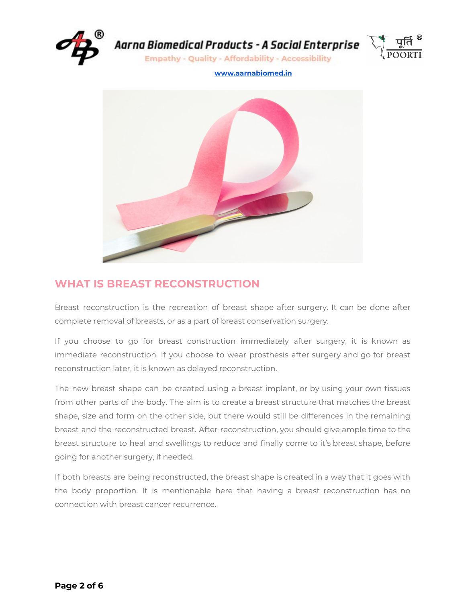

Aarna Biomedical Products - A Social Enterprise

**Empathy - Quality - Affordability - Accessibility** 



**[www.aarnabiomed.in](http://www.aarnabiomed.in/)**



#### **WHAT IS BREAST RECONSTRUCTION**

Breast reconstruction is the recreation of breast shape after surgery. It can be done after complete removal of breasts, or as a part of breast conservation surgery.

If you choose to go for breast construction immediately after surgery, it is known as immediate reconstruction. If you choose to wear prosthesis after surgery and go for breast reconstruction later, it is known as delayed reconstruction.

The new breast shape can be created using a breast implant, or by using your own tissues from other parts of the body. The aim is to create a breast structure that matches the breast shape, size and form on the other side, but there would still be differences in the remaining breast and the reconstructed breast. After reconstruction, you should give ample time to the breast structure to heal and swellings to reduce and finally come to it's breast shape, before going for another surgery, if needed.

If both breasts are being reconstructed, the breast shape is created in a way that it goes with the body proportion. It is mentionable here that having a breast reconstruction has no connection with breast cancer recurrence.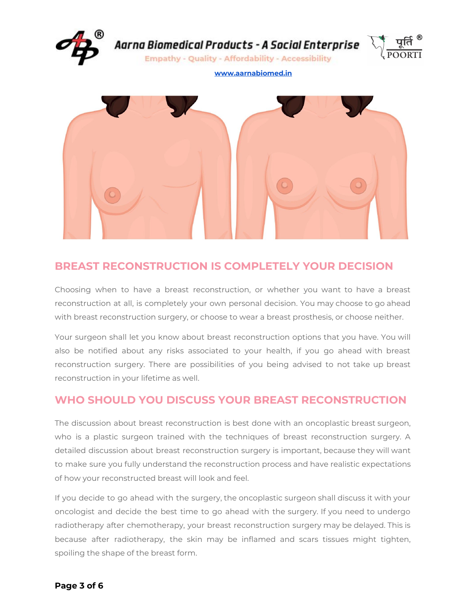

## **BREAST RECONSTRUCTION IS COMPLETELY YOUR DECISION**

Choosing when to have a breast reconstruction, or whether you want to have a breast reconstruction at all, is completely your own personal decision. You may choose to go ahead with breast reconstruction surgery, or choose to wear a breast prosthesis, or choose neither.

Your surgeon shall let you know about breast reconstruction options that you have. You will also be notified about any risks associated to your health, if you go ahead with breast reconstruction surgery. There are possibilities of you being advised to not take up breast reconstruction in your lifetime as well.

#### **WHO SHOULD YOU DISCUSS YOUR BREAST RECONSTRUCTION**

The discussion about breast reconstruction is best done with an oncoplastic breast surgeon, who is a plastic surgeon trained with the techniques of breast reconstruction surgery. A detailed discussion about breast reconstruction surgery is important, because they will want to make sure you fully understand the reconstruction process and have realistic expectations of how your reconstructed breast will look and feel.

If you decide to go ahead with the surgery, the oncoplastic surgeon shall discuss it with your oncologist and decide the best time to go ahead with the surgery. If you need to undergo radiotherapy after chemotherapy, your breast reconstruction surgery may be delayed. This is because after radiotherapy, the skin may be inflamed and scars tissues might tighten, spoiling the shape of the breast form.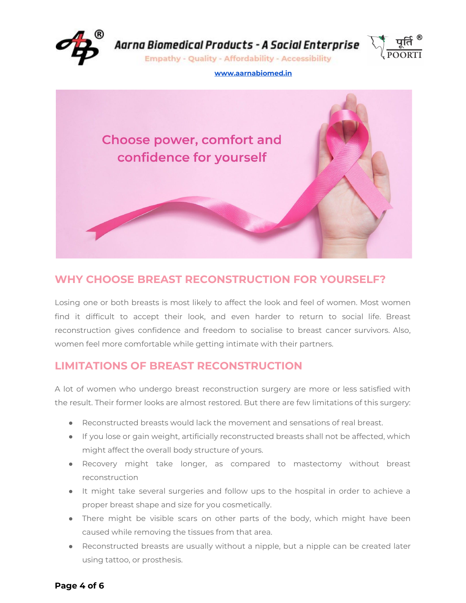

Aarna Biomedical Products - A Social Enterprise



**Empathy - Quality - Affordability - Accessibility** 

#### **[www.aarnabiomed.in](http://www.aarnabiomed.in/)**



## **WHY CHOOSE BREAST RECONSTRUCTION FOR YOURSELF?**

Losing one or both breasts is most likely to affect the look and feel of women. Most women find it difficult to accept their look, and even harder to return to social life. Breast reconstruction gives confidence and freedom to socialise to breast cancer survivors. Also, women feel more comfortable while getting intimate with their partners.

#### **LIMITATIONS OF BREAST RECONSTRUCTION**

A lot of women who undergo breast reconstruction surgery are more or less satisfied with the result. Their former looks are almost restored. But there are few limitations of this surgery:

- Reconstructed breasts would lack the movement and sensations of real breast.
- If you lose or gain weight, artificially reconstructed breasts shall not be affected, which might affect the overall body structure of yours.
- Recovery might take longer, as compared to mastectomy without breast reconstruction
- It might take several surgeries and follow ups to the hospital in order to achieve a proper breast shape and size for you cosmetically.
- There might be visible scars on other parts of the body, which might have been caused while removing the tissues from that area.
- Reconstructed breasts are usually without a nipple, but a nipple can be created later using tattoo, or prosthesis.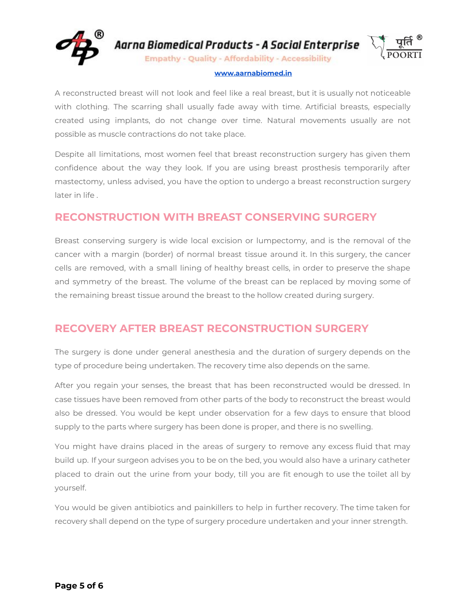

Aarna Biomedical Products - A Social Enterprise

**Empathy - Quality - Affordability - Accessibility** 

#### **[www.aarnabiomed.in](http://www.aarnabiomed.in/)**

A reconstructed breast will not look and feel like a real breast, but it is usually not noticeable with clothing. The scarring shall usually fade away with time. Artificial breasts, especially created using implants, do not change over time. Natural movements usually are not possible as muscle contractions do not take place.

Despite all limitations, most women feel that breast reconstruction surgery has given them confidence about the way they look. If you are using breast prosthesis temporarily after mastectomy, unless advised, you have the option to undergo a breast reconstruction surgery later in life .

## **RECONSTRUCTION WITH BREAST CONSERVING SURGERY**

Breast conserving surgery is wide local excision or lumpectomy, and is the removal of the cancer with a margin (border) of normal breast tissue around it. In this surgery, the cancer cells are removed, with a small lining of healthy breast cells, in order to preserve the shape and symmetry of the breast. The volume of the breast can be replaced by moving some of the remaining breast tissue around the breast to the hollow created during surgery.

## **RECOVERY AFTER BREAST RECONSTRUCTION SURGERY**

The surgery is done under general anesthesia and the duration of surgery depends on the type of procedure being undertaken. The recovery time also depends on the same.

After you regain your senses, the breast that has been reconstructed would be dressed. In case tissues have been removed from other parts of the body to reconstruct the breast would also be dressed. You would be kept under observation for a few days to ensure that blood supply to the parts where surgery has been done is proper, and there is no swelling.

You might have drains placed in the areas of surgery to remove any excess fluid that may build up. If your surgeon advises you to be on the bed, you would also have a urinary catheter placed to drain out the urine from your body, till you are fit enough to use the toilet all by yourself.

You would be given antibiotics and painkillers to help in further recovery. The time taken for recovery shall depend on the type of surgery procedure undertaken and your inner strength.